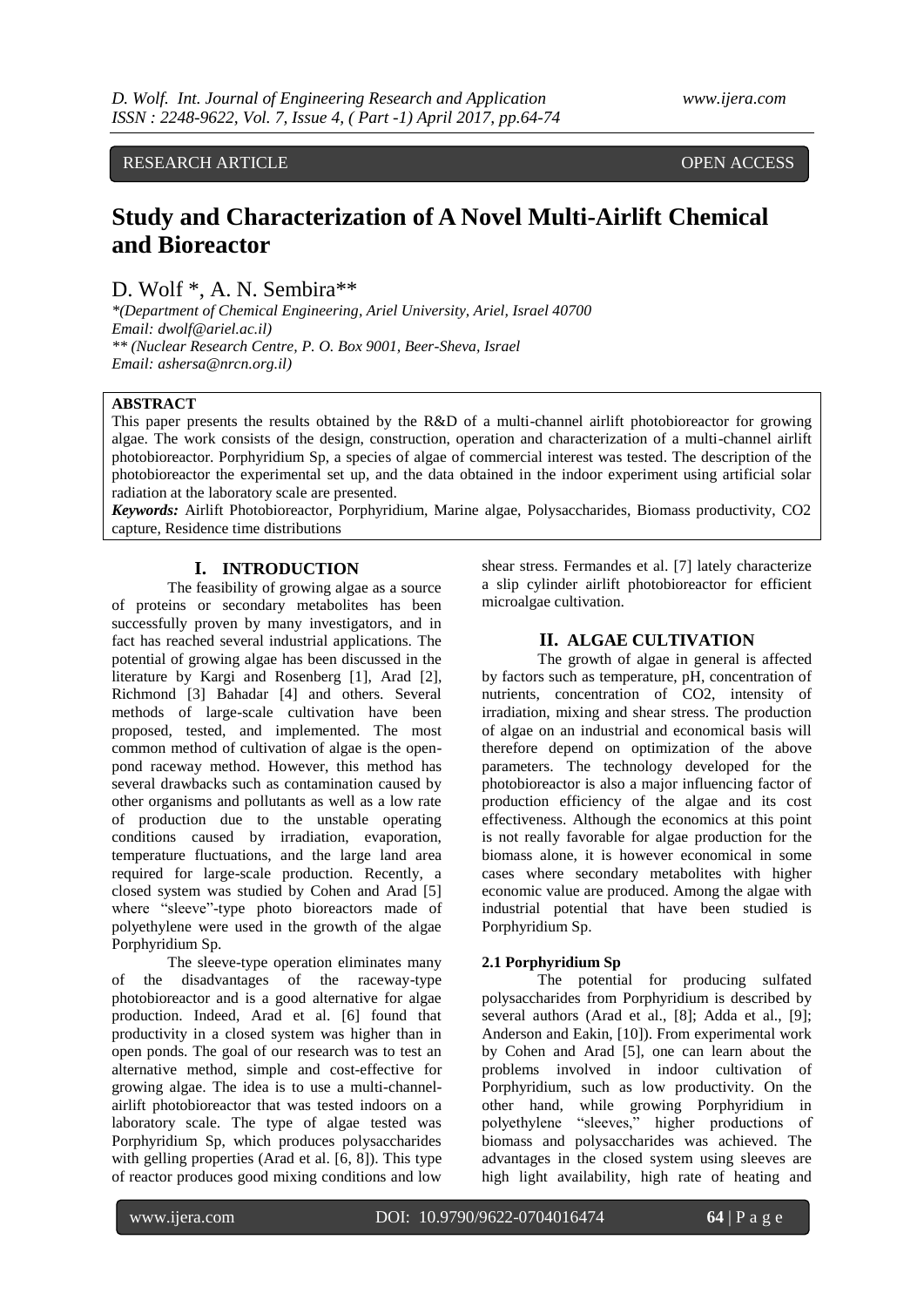RESEARCH ARTICLE OPEN ACCESS

# **Study and Characterization of A Novel Multi-Airlift Chemical and Bioreactor**

D. Wolf \*, A. N. Sembira\*\*

*\*(Department of Chemical Engineering, Ariel University, Ariel, Israel 40700 Email: dwolf@ariel.ac.il) \*\* (Nuclear Research Centre, P. O. Box 9001, Beer-Sheva, Israel Email: ashersa@nrcn.org.il)*

# **ABSTRACT**

This paper presents the results obtained by the R&D of a multi-channel airlift photobioreactor for growing algae. The work consists of the design, construction, operation and characterization of a multi-channel airlift photobioreactor. Porphyridium Sp, a species of algae of commercial interest was tested. The description of the photobioreactor the experimental set up, and the data obtained in the indoor experiment using artificial solar radiation at the laboratory scale are presented.

*Keywords:* Airlift Photobioreactor, Porphyridium, Marine algae, Polysaccharides, Biomass productivity, CO2 capture, Residence time distributions

# **I. INTRODUCTION**

The feasibility of growing algae as a source of proteins or secondary metabolites has been successfully proven by many investigators, and in fact has reached several industrial applications. The potential of growing algae has been discussed in the literature by Kargi and Rosenberg [1], Arad [2], Richmond [3] Bahadar [4] and others. Several methods of large-scale cultivation have been proposed, tested, and implemented. The most common method of cultivation of algae is the openpond raceway method. However, this method has several drawbacks such as contamination caused by other organisms and pollutants as well as a low rate of production due to the unstable operating conditions caused by irradiation, evaporation, temperature fluctuations, and the large land area required for large-scale production. Recently, a closed system was studied by Cohen and Arad [5] where "sleeve"-type photo bioreactors made of polyethylene were used in the growth of the algae Porphyridium Sp.

The sleeve-type operation eliminates many of the disadvantages of the raceway-type photobioreactor and is a good alternative for algae production. Indeed, Arad et al. [6] found that productivity in a closed system was higher than in open ponds. The goal of our research was to test an alternative method, simple and cost-effective for growing algae. The idea is to use a multi-channelairlift photobioreactor that was tested indoors on a laboratory scale. The type of algae tested was Porphyridium Sp, which produces polysaccharides with gelling properties (Arad et al. [6, 8]). This type of reactor produces good mixing conditions and low

shear stress. Fermandes et al. [7] lately characterize a slip cylinder airlift photobioreactor for efficient microalgae cultivation.

# **II. ALGAE CULTIVATION**

The growth of algae in general is affected by factors such as temperature, pH, concentration of nutrients, concentration of CO2, intensity of irradiation, mixing and shear stress. The production of algae on an industrial and economical basis will therefore depend on optimization of the above parameters. The technology developed for the photobioreactor is also a major influencing factor of production efficiency of the algae and its cost effectiveness. Although the economics at this point is not really favorable for algae production for the biomass alone, it is however economical in some cases where secondary metabolites with higher economic value are produced. Among the algae with industrial potential that have been studied is Porphyridium Sp.

# **2.1 Porphyridium Sp**

The potential for producing sulfated polysaccharides from Porphyridium is described by several authors (Arad et al., [8]; Adda et al., [9]; Anderson and Eakin, [10]). From experimental work by Cohen and Arad [5], one can learn about the problems involved in indoor cultivation of Porphyridium, such as low productivity. On the other hand, while growing Porphyridium in polyethylene "sleeves," higher productions of biomass and polysaccharides was achieved. The advantages in the closed system using sleeves are high light availability, high rate of heating and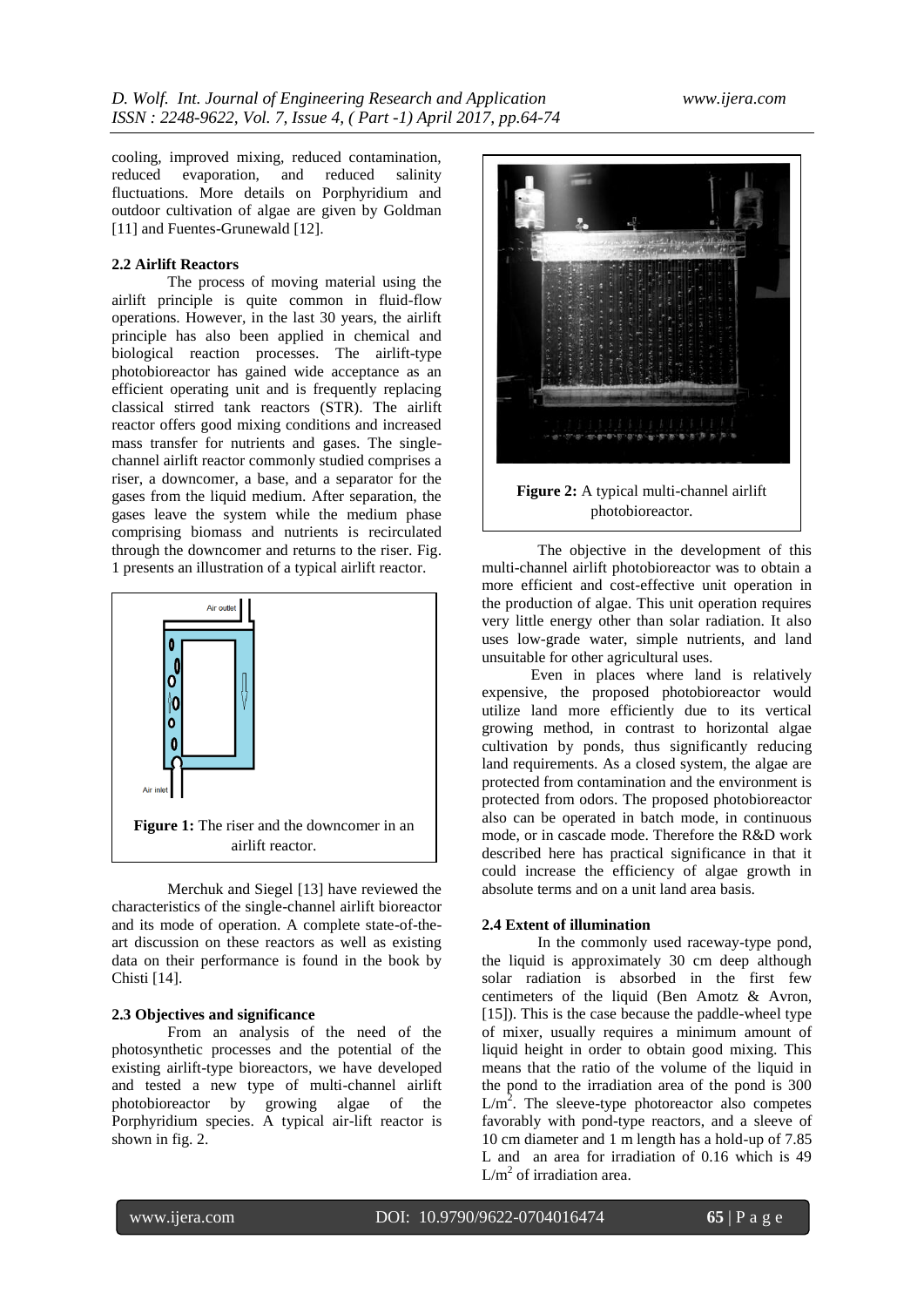cooling, improved mixing, reduced contamination, reduced evaporation, and reduced salinity fluctuations. More details on Porphyridium and outdoor cultivation of algae are given by Goldman [11] and Fuentes-Grunewald [12].

# **2.2 Airlift Reactors**

The process of moving material using the airlift principle is quite common in fluid-flow operations. However, in the last 30 years, the airlift principle has also been applied in chemical and biological reaction processes. The airlift-type photobioreactor has gained wide acceptance as an efficient operating unit and is frequently replacing classical stirred tank reactors (STR). The airlift reactor offers good mixing conditions and increased mass transfer for nutrients and gases. The singlechannel airlift reactor commonly studied comprises a riser, a downcomer, a base, and a separator for the gases from the liquid medium. After separation, the gases leave the system while the medium phase comprising biomass and nutrients is recirculated through the downcomer and returns to the riser. Fig. 1 presents an illustration of a typical airlift reactor.



Merchuk and Siegel [13] have reviewed the characteristics of the single-channel airlift bioreactor and its mode of operation. A complete state-of-theart discussion on these reactors as well as existing data on their performance is found in the book by Chisti [14].

#### **2.3 Objectives and significance**

From an analysis of the need of the photosynthetic processes and the potential of the existing airlift-type bioreactors, we have developed and tested a new type of multi-channel airlift photobioreactor by growing algae of the Porphyridium species. A typical air-lift reactor is shown in fig. 2.



The objective in the development of this multi-channel airlift photobioreactor was to obtain a more efficient and cost-effective unit operation in the production of algae. This unit operation requires very little energy other than solar radiation. It also uses low-grade water, simple nutrients, and land unsuitable for other agricultural uses.

Even in places where land is relatively expensive, the proposed photobioreactor would utilize land more efficiently due to its vertical growing method, in contrast to horizontal algae cultivation by ponds, thus significantly reducing land requirements. As a closed system, the algae are protected from contamination and the environment is protected from odors. The proposed photobioreactor also can be operated in batch mode, in continuous mode, or in cascade mode. Therefore the R&D work described here has practical significance in that it could increase the efficiency of algae growth in absolute terms and on a unit land area basis.

## **2.4 Extent of illumination**

In the commonly used raceway-type pond, the liquid is approximately 30 cm deep although solar radiation is absorbed in the first few centimeters of the liquid (Ben Amotz & Avron, [15]). This is the case because the paddle-wheel type of mixer, usually requires a minimum amount of liquid height in order to obtain good mixing. This means that the ratio of the volume of the liquid in the pond to the irradiation area of the pond is 300  $L/m<sup>2</sup>$ . The sleeve-type photoreactor also competes favorably with pond-type reactors, and a sleeve of 10 cm diameter and 1 m length has a hold-up of 7.85 L and an area for irradiation of 0.16 which is 49  $L/m<sup>2</sup>$  of irradiation area.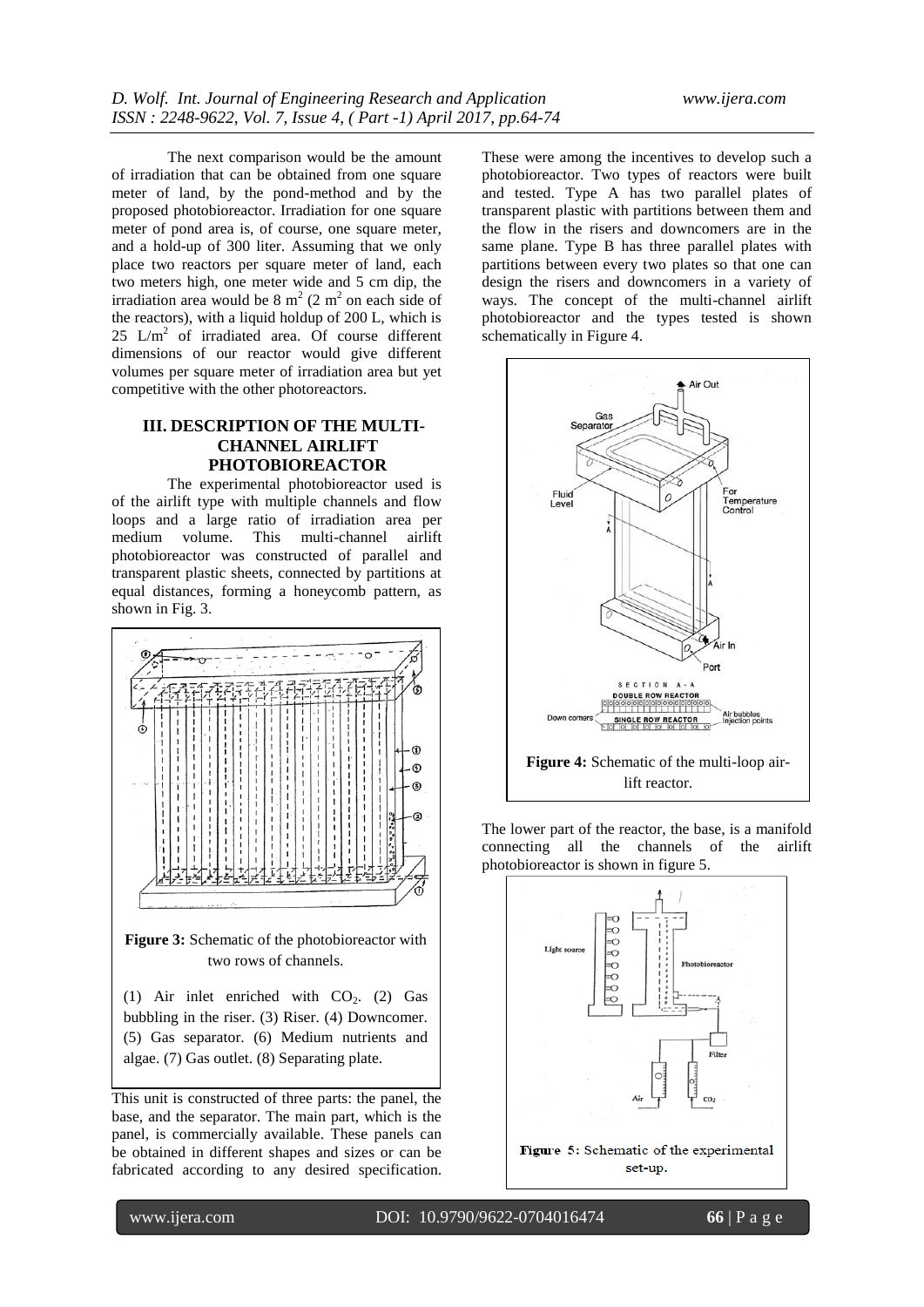The next comparison would be the amount of irradiation that can be obtained from one square meter of land, by the pond-method and by the proposed photobioreactor. Irradiation for one square meter of pond area is, of course, one square meter, and a hold-up of 300 liter. Assuming that we only place two reactors per square meter of land, each two meters high, one meter wide and 5 cm dip, the irradiation area would be  $8 \text{ m}^2 (2 \text{ m}^2)$  on each side of the reactors), with a liquid holdup of 200 L, which is  $25$  L/m<sup>2</sup> of irradiated area. Of course different dimensions of our reactor would give different volumes per square meter of irradiation area but yet competitive with the other photoreactors.

# **III. DESCRIPTION OF THE MULTI-CHANNEL AIRLIFT PHOTOBIOREACTOR**

The experimental photobioreactor used is of the airlift type with multiple channels and flow loops and a large ratio of irradiation area per medium volume. This multi-channel airlift photobioreactor was constructed of parallel and transparent plastic sheets, connected by partitions at equal distances, forming a honeycomb pattern, as shown in Fig. 3.



**Figure 3:** Schematic of the photobioreactor with two rows of channels.

(1) Air inlet enriched with  $CO<sub>2</sub>$ . (2) Gas bubbling in the riser. (3) Riser. (4) Downcomer. (5) Gas separator. (6) Medium nutrients and algae. (7) Gas outlet. (8) Separating plate.

This unit is constructed of three parts: the panel, the base, and the separator. The main part, which is the panel, is commercially available. These panels can be obtained in different shapes and sizes or can be fabricated according to any desired specification.

These were among the incentives to develop such a photobioreactor. Two types of reactors were built and tested. Type A has two parallel plates of transparent plastic with partitions between them and the flow in the risers and downcomers are in the same plane. Type B has three parallel plates with partitions between every two plates so that one can design the risers and downcomers in a variety of ways. The concept of the multi-channel airlift photobioreactor and the types tested is shown schematically in Figure 4.



The lower part of the reactor, the base, is a manifold connecting all the channels of the airlift photobioreactor is shown in figure 5.

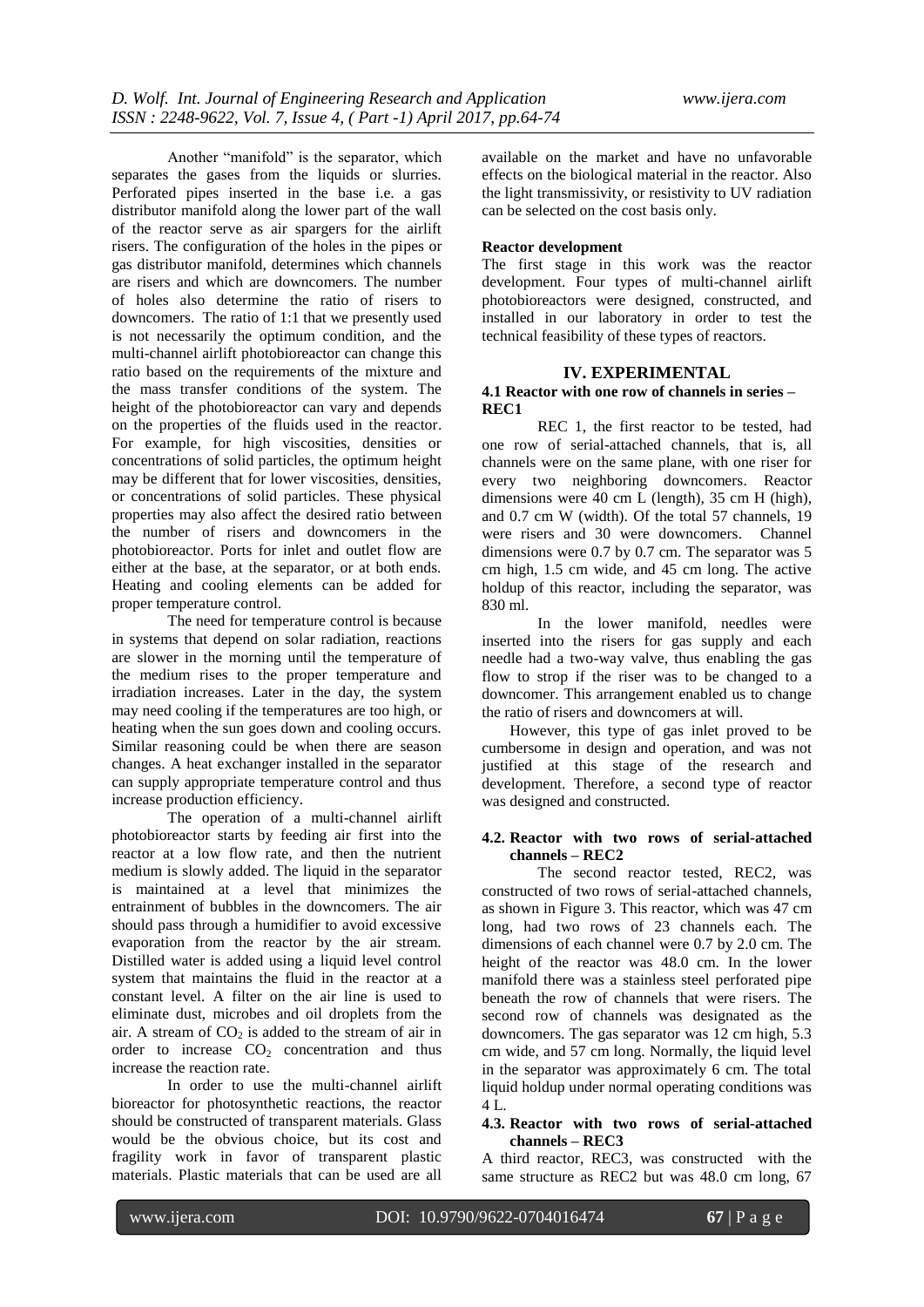Another "manifold" is the separator, which separates the gases from the liquids or slurries. Perforated pipes inserted in the base i.e. a gas distributor manifold along the lower part of the wall of the reactor serve as air spargers for the airlift risers. The configuration of the holes in the pipes or gas distributor manifold, determines which channels are risers and which are downcomers. The number of holes also determine the ratio of risers to downcomers. The ratio of 1:1 that we presently used is not necessarily the optimum condition, and the multi-channel airlift photobioreactor can change this ratio based on the requirements of the mixture and the mass transfer conditions of the system. The height of the photobioreactor can vary and depends on the properties of the fluids used in the reactor. For example, for high viscosities, densities or concentrations of solid particles, the optimum height may be different that for lower viscosities, densities, or concentrations of solid particles. These physical properties may also affect the desired ratio between the number of risers and downcomers in the photobioreactor. Ports for inlet and outlet flow are either at the base, at the separator, or at both ends. Heating and cooling elements can be added for proper temperature control.

The need for temperature control is because in systems that depend on solar radiation, reactions are slower in the morning until the temperature of the medium rises to the proper temperature and irradiation increases. Later in the day, the system may need cooling if the temperatures are too high, or heating when the sun goes down and cooling occurs. Similar reasoning could be when there are season changes. A heat exchanger installed in the separator can supply appropriate temperature control and thus increase production efficiency.

The operation of a multi-channel airlift photobioreactor starts by feeding air first into the reactor at a low flow rate, and then the nutrient medium is slowly added. The liquid in the separator is maintained at a level that minimizes the entrainment of bubbles in the downcomers. The air should pass through a humidifier to avoid excessive evaporation from the reactor by the air stream. Distilled water is added using a liquid level control system that maintains the fluid in the reactor at a constant level. A filter on the air line is used to eliminate dust, microbes and oil droplets from the air. A stream of  $CO<sub>2</sub>$  is added to the stream of air in order to increase  $CO<sub>2</sub>$  concentration and thus increase the reaction rate.

In order to use the multi-channel airlift bioreactor for photosynthetic reactions, the reactor should be constructed of transparent materials. Glass would be the obvious choice, but its cost and fragility work in favor of transparent plastic materials. Plastic materials that can be used are all

available on the market and have no unfavorable effects on the biological material in the reactor. Also the light transmissivity, or resistivity to UV radiation can be selected on the cost basis only.

## **Reactor development**

The first stage in this work was the reactor development. Four types of multi-channel airlift photobioreactors were designed, constructed, and installed in our laboratory in order to test the technical feasibility of these types of reactors.

# **IV. EXPERIMENTAL**

#### **4.1 Reactor with one row of channels in series – REC1**

REC 1, the first reactor to be tested, had one row of serial-attached channels, that is, all channels were on the same plane, with one riser for every two neighboring downcomers. Reactor dimensions were 40 cm L (length), 35 cm H (high), and 0.7 cm W (width). Of the total 57 channels, 19 were risers and 30 were downcomers. Channel dimensions were 0.7 by 0.7 cm. The separator was 5 cm high, 1.5 cm wide, and 45 cm long. The active holdup of this reactor, including the separator, was 830 ml.

In the lower manifold, needles were inserted into the risers for gas supply and each needle had a two-way valve, thus enabling the gas flow to strop if the riser was to be changed to a downcomer. This arrangement enabled us to change the ratio of risers and downcomers at will.

However, this type of gas inlet proved to be cumbersome in design and operation, and was not justified at this stage of the research and development. Therefore, a second type of reactor was designed and constructed.

## **4.2. Reactor with two rows of serial-attached channels – REC2**

The second reactor tested, REC2, was constructed of two rows of serial-attached channels, as shown in Figure 3. This reactor, which was 47 cm long, had two rows of 23 channels each. The dimensions of each channel were 0.7 by 2.0 cm. The height of the reactor was 48.0 cm. In the lower manifold there was a stainless steel perforated pipe beneath the row of channels that were risers. The second row of channels was designated as the downcomers. The gas separator was 12 cm high, 5.3 cm wide, and 57 cm long. Normally, the liquid level in the separator was approximately 6 cm. The total liquid holdup under normal operating conditions was  $4 L$ 

#### **4.3. Reactor with two rows of serial-attached channels – REC3**

A third reactor, REC3, was constructed with the same structure as REC2 but was 48.0 cm long, 67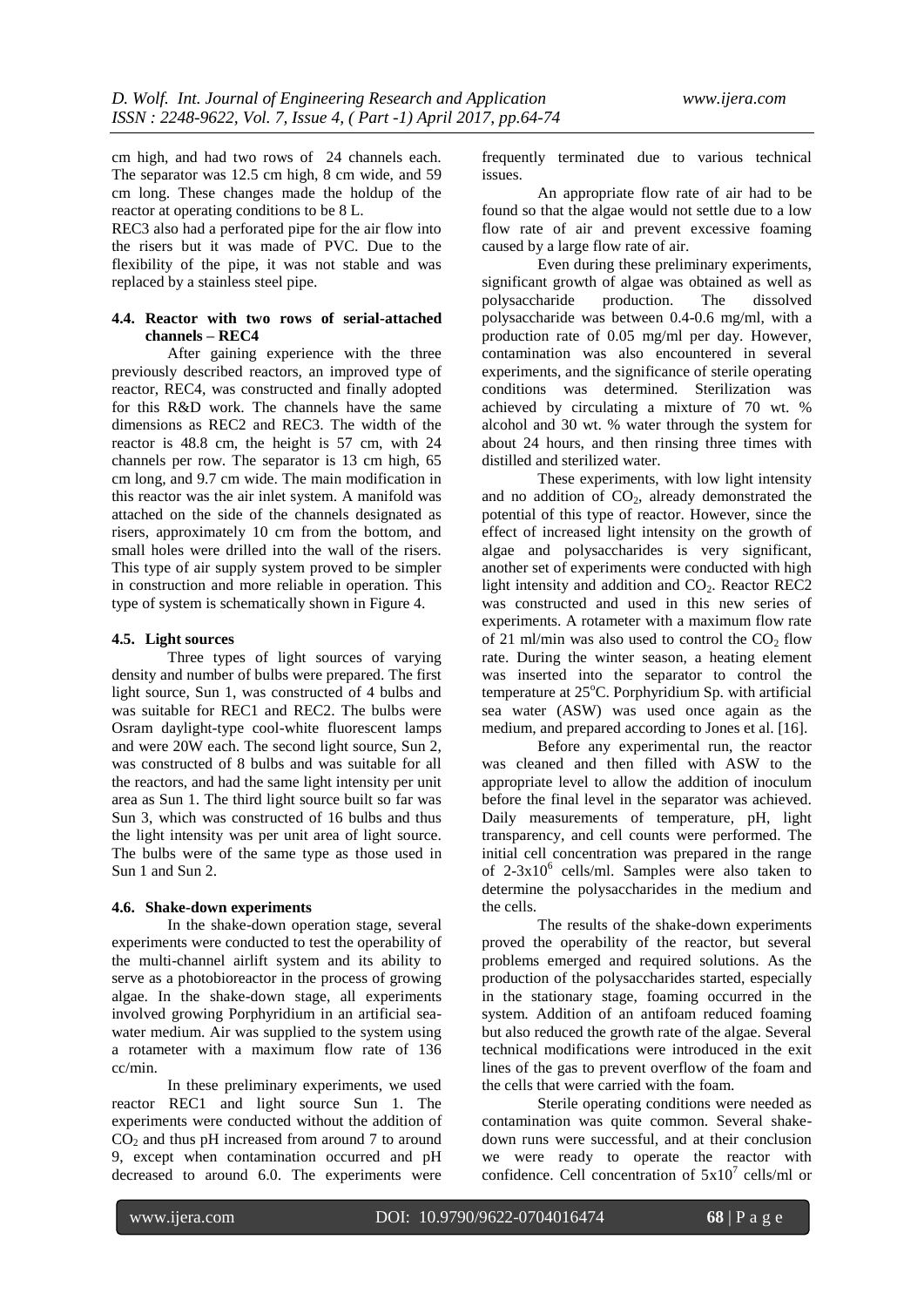cm high, and had two rows of 24 channels each. The separator was 12.5 cm high, 8 cm wide, and 59 cm long. These changes made the holdup of the reactor at operating conditions to be 8 L.

REC3 also had a perforated pipe for the air flow into the risers but it was made of PVC. Due to the flexibility of the pipe, it was not stable and was replaced by a stainless steel pipe.

# **4.4. Reactor with two rows of serial-attached channels – REC4**

After gaining experience with the three previously described reactors, an improved type of reactor, REC4, was constructed and finally adopted for this R&D work. The channels have the same dimensions as REC2 and REC3. The width of the reactor is 48.8 cm, the height is 57 cm, with 24 channels per row. The separator is 13 cm high, 65 cm long, and 9.7 cm wide. The main modification in this reactor was the air inlet system. A manifold was attached on the side of the channels designated as risers, approximately 10 cm from the bottom, and small holes were drilled into the wall of the risers. This type of air supply system proved to be simpler in construction and more reliable in operation. This type of system is schematically shown in Figure 4.

#### **4.5. Light sources**

Three types of light sources of varying density and number of bulbs were prepared. The first light source, Sun 1, was constructed of 4 bulbs and was suitable for REC1 and REC2. The bulbs were Osram daylight-type cool-white fluorescent lamps and were 20W each. The second light source, Sun 2, was constructed of 8 bulbs and was suitable for all the reactors, and had the same light intensity per unit area as Sun 1. The third light source built so far was Sun 3, which was constructed of 16 bulbs and thus the light intensity was per unit area of light source. The bulbs were of the same type as those used in Sun 1 and Sun 2.

#### **4.6. Shake-down experiments**

In the shake-down operation stage, several experiments were conducted to test the operability of the multi-channel airlift system and its ability to serve as a photobioreactor in the process of growing algae. In the shake-down stage, all experiments involved growing Porphyridium in an artificial seawater medium. Air was supplied to the system using a rotameter with a maximum flow rate of 136 cc/min.

In these preliminary experiments, we used reactor REC1 and light source Sun 1. The experiments were conducted without the addition of  $CO<sub>2</sub>$  and thus pH increased from around 7 to around 9, except when contamination occurred and pH decreased to around 6.0. The experiments were

frequently terminated due to various technical issues.

An appropriate flow rate of air had to be found so that the algae would not settle due to a low flow rate of air and prevent excessive foaming caused by a large flow rate of air.

Even during these preliminary experiments, significant growth of algae was obtained as well as polysaccharide production. The dissolved polysaccharide production. The dissolved polysaccharide was between 0.4-0.6 mg/ml, with a production rate of 0.05 mg/ml per day. However, contamination was also encountered in several experiments, and the significance of sterile operating conditions was determined. Sterilization was achieved by circulating a mixture of 70 wt. % alcohol and 30 wt. % water through the system for about 24 hours, and then rinsing three times with distilled and sterilized water.

These experiments, with low light intensity and no addition of  $CO<sub>2</sub>$ , already demonstrated the potential of this type of reactor. However, since the effect of increased light intensity on the growth of algae and polysaccharides is very significant, another set of experiments were conducted with high light intensity and addition and CO<sub>2</sub>. Reactor REC2 was constructed and used in this new series of experiments. A rotameter with a maximum flow rate of 21 ml/min was also used to control the  $CO<sub>2</sub>$  flow rate. During the winter season, a heating element was inserted into the separator to control the temperature at  $25^{\circ}$ C. Porphyridium Sp. with artificial sea water (ASW) was used once again as the medium, and prepared according to Jones et al. [16].

Before any experimental run, the reactor was cleaned and then filled with ASW to the appropriate level to allow the addition of inoculum before the final level in the separator was achieved. Daily measurements of temperature, pH, light transparency, and cell counts were performed. The initial cell concentration was prepared in the range of 2-3x10<sup>6</sup> cells/ml. Samples were also taken to determine the polysaccharides in the medium and the cells.

The results of the shake-down experiments proved the operability of the reactor, but several problems emerged and required solutions. As the production of the polysaccharides started, especially in the stationary stage, foaming occurred in the system. Addition of an antifoam reduced foaming but also reduced the growth rate of the algae. Several technical modifications were introduced in the exit lines of the gas to prevent overflow of the foam and the cells that were carried with the foam.

Sterile operating conditions were needed as contamination was quite common. Several shakedown runs were successful, and at their conclusion we were ready to operate the reactor with confidence. Cell concentration of  $5x10^7$  cells/ml or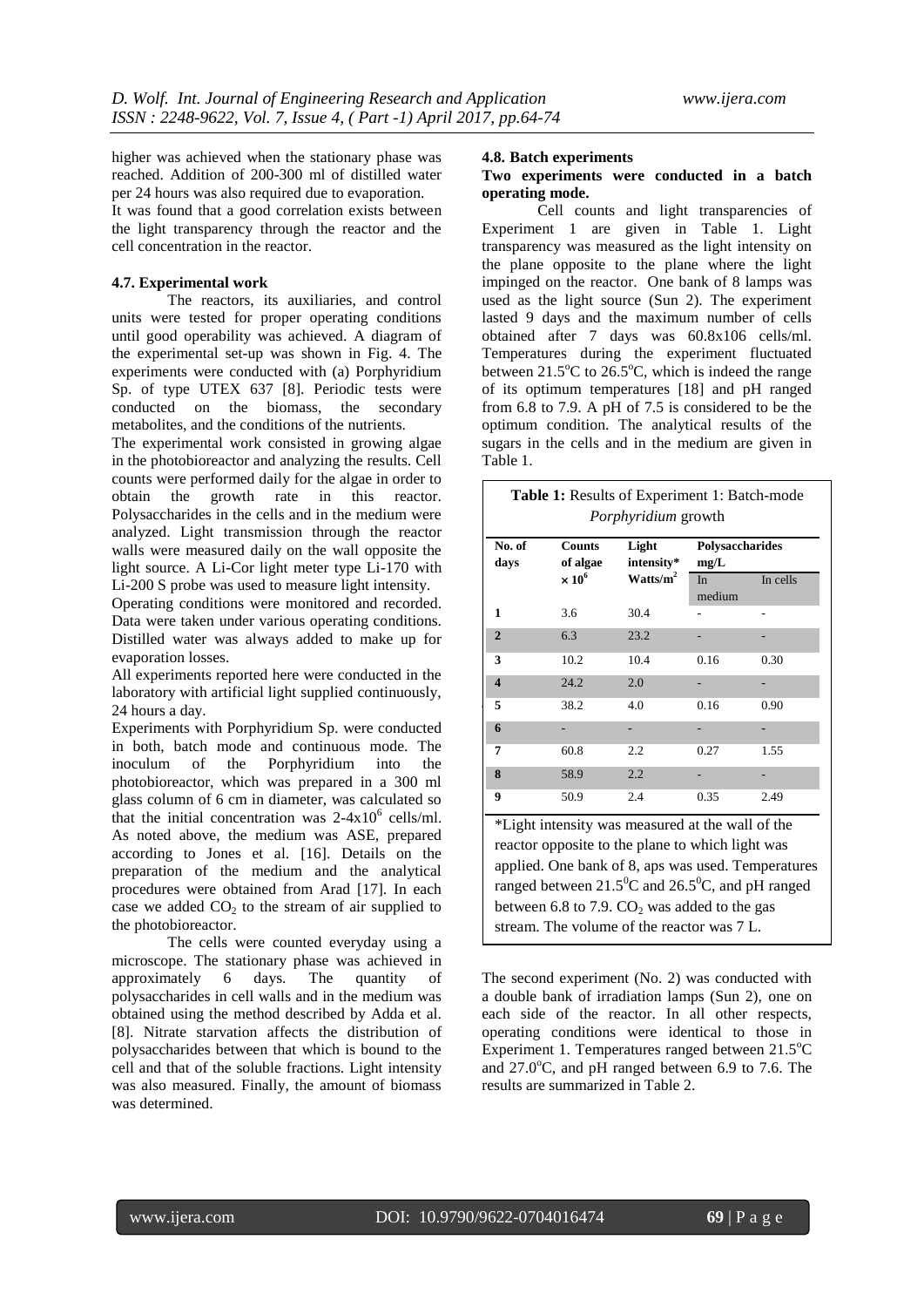higher was achieved when the stationary phase was reached. Addition of 200-300 ml of distilled water per 24 hours was also required due to evaporation.

It was found that a good correlation exists between the light transparency through the reactor and the cell concentration in the reactor.

#### **4.7. Experimental work**

The reactors, its auxiliaries, and control units were tested for proper operating conditions until good operability was achieved. A diagram of the experimental set-up was shown in Fig. 4. The experiments were conducted with (a) Porphyridium Sp. of type UTEX 637 [8]. Periodic tests were conducted on the biomass, the secondary metabolites, and the conditions of the nutrients.

The experimental work consisted in growing algae in the photobioreactor and analyzing the results. Cell counts were performed daily for the algae in order to obtain the growth rate in this reactor. Polysaccharides in the cells and in the medium were analyzed. Light transmission through the reactor walls were measured daily on the wall opposite the light source. A Li-Cor light meter type Li-170 with Li-200 S probe was used to measure light intensity.

Operating conditions were monitored and recorded. Data were taken under various operating conditions. Distilled water was always added to make up for evaporation losses.

All experiments reported here were conducted in the laboratory with artificial light supplied continuously, 24 hours a day.

Experiments with Porphyridium Sp. were conducted in both, batch mode and continuous mode. The inoculum of the Porphyridium into the photobioreactor, which was prepared in a 300 ml glass column of 6 cm in diameter, was calculated so that the initial concentration was  $2-4x10^6$  cells/ml. As noted above, the medium was ASE, prepared according to Jones et al. [16]. Details on the preparation of the medium and the analytical procedures were obtained from Arad [17]. In each case we added  $CO<sub>2</sub>$  to the stream of air supplied to the photobioreactor.

The cells were counted everyday using a microscope. The stationary phase was achieved in approximately 6 days. The quantity of polysaccharides in cell walls and in the medium was obtained using the method described by Adda et al. [8]. Nitrate starvation affects the distribution of polysaccharides between that which is bound to the cell and that of the soluble fractions. Light intensity was also measured. Finally, the amount of biomass was determined.

#### **4.8. Batch experiments**

## **Two experiments were conducted in a batch operating mode.**

Cell counts and light transparencies of Experiment 1 are given in Table 1. Light transparency was measured as the light intensity on the plane opposite to the plane where the light impinged on the reactor. One bank of 8 lamps was used as the light source (Sun 2). The experiment lasted 9 days and the maximum number of cells obtained after 7 days was 60.8x106 cells/ml. Temperatures during the experiment fluctuated between  $21.5^{\circ}$ C to  $26.5^{\circ}$ C, which is indeed the range of its optimum temperatures [18] and pH ranged from 6.8 to 7.9. A pH of 7.5 is considered to be the optimum condition. The analytical results of the sugars in the cells and in the medium are given in Table 1.

| No. of<br>days          | <b>Counts</b><br>of algae | Light<br>intensity* | Polysaccharides<br>mg/L |          |  |
|-------------------------|---------------------------|---------------------|-------------------------|----------|--|
|                         | $\times 10^6$             | Watts/ $m^2$        | In<br>medium            | In cells |  |
| 1                       | 3.6                       | 30.4                |                         |          |  |
| $\overline{2}$          | 6.3                       | 23.2                |                         |          |  |
| 3                       | 10.2                      | 10.4                | 0.16                    | 0.30     |  |
| $\overline{\mathbf{4}}$ | 24.2                      | 2.0                 |                         |          |  |
| 5                       | 38.2                      | 4.0                 | 0.16                    | 0.90     |  |
| 6                       |                           |                     |                         |          |  |
| 7                       | 60.8                      | 2.2                 | 0.27                    | 1.55     |  |
| 8                       | 58.9                      | 2.2                 |                         |          |  |
| 9                       | 50.9                      | 2.4                 | 0.35                    | 2.49     |  |

applied. One bank of 8, aps was used. Temperatures ranged between  $21.5^{\circ}$ C and  $26.5^{\circ}$ C, and pH ranged between 6.8 to 7.9.  $CO<sub>2</sub>$  was added to the gas stream. The volume of the reactor was 7 L.

The second experiment (No. 2) was conducted with a double bank of irradiation lamps (Sun 2), one on each side of the reactor. In all other respects, operating conditions were identical to those in Experiment 1. Temperatures ranged between  $21.5^{\circ}C$ and  $27.0^{\circ}$ C, and pH ranged between 6.9 to 7.6. The results are summarized in Table 2.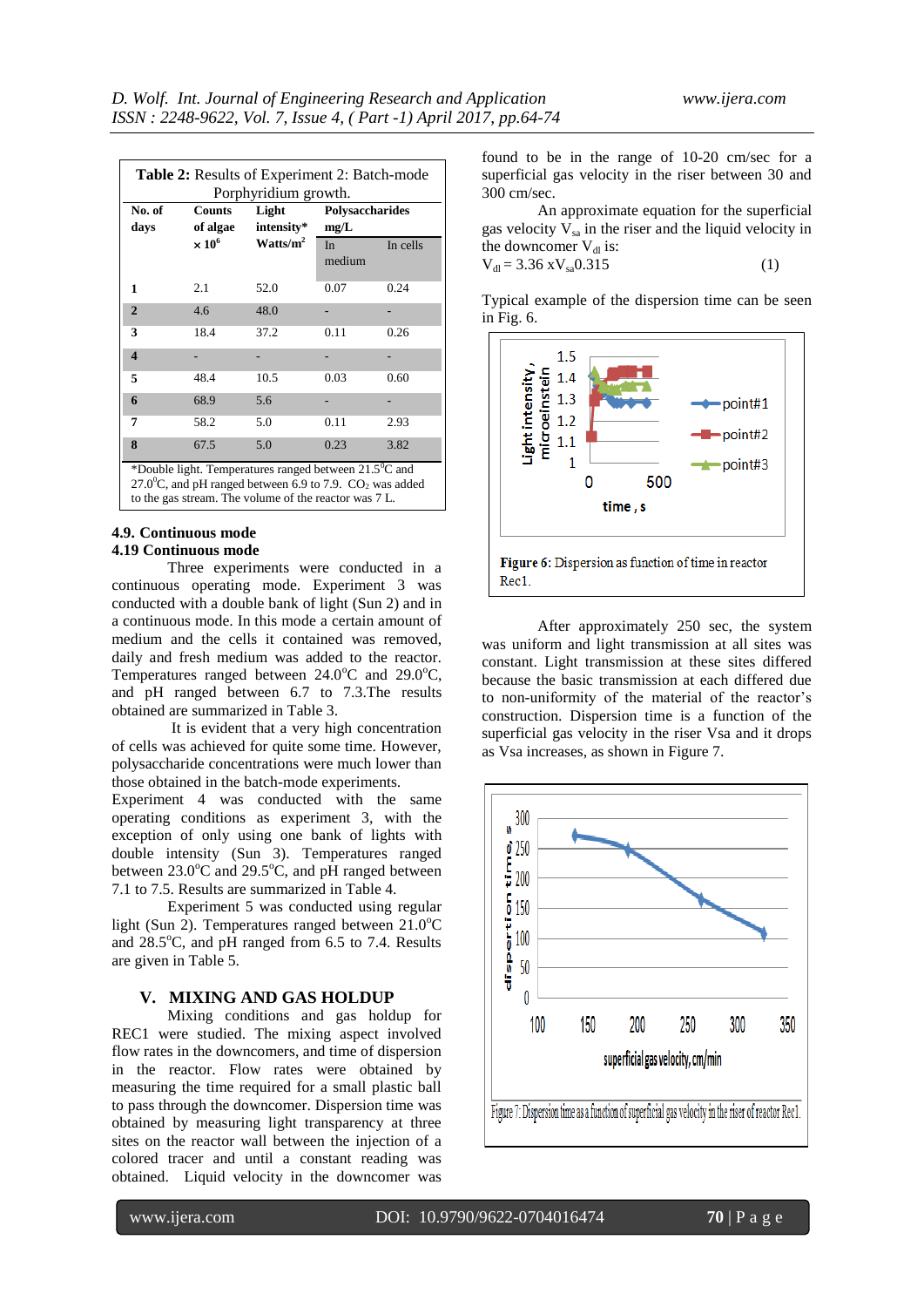| Table 2: Results of Experiment 2: Batch-mode<br>Porphyridium growth.                                                                       |                           |                      |                         |          |  |  |  |
|--------------------------------------------------------------------------------------------------------------------------------------------|---------------------------|----------------------|-------------------------|----------|--|--|--|
| No. of<br>days                                                                                                                             | <b>Counts</b><br>of algae | Light<br>intensity*  | Polysaccharides<br>mg/L |          |  |  |  |
|                                                                                                                                            | $\times 10^6$             | Watts/m <sup>2</sup> |                         | In cells |  |  |  |
| 1                                                                                                                                          | 2.1                       | 52.0                 | 0.07                    | 0.24     |  |  |  |
| $\overline{2}$                                                                                                                             | 4.6                       | 48.0                 |                         |          |  |  |  |
| 3                                                                                                                                          | 18.4                      | 37.2                 | 0.11                    | 0.26     |  |  |  |
| $\overline{\mathbf{4}}$                                                                                                                    |                           |                      |                         |          |  |  |  |
| 5                                                                                                                                          | 48.4                      | 10.5                 | 0.03                    | 0.60     |  |  |  |
| 6                                                                                                                                          | 68.9                      | 5.6                  |                         |          |  |  |  |
| 7                                                                                                                                          | 58.2                      | 5.0                  | 0.11                    | 2.93     |  |  |  |
| 8                                                                                                                                          | 67.5                      | 5.0                  | 0.23                    | 3.82     |  |  |  |
| *Double light. Temperatures ranged between $21.5^{\circ}$ C and<br>27.0 <sup>o</sup> C, and pH ranged between 6.9 to 7.9. $CO_2$ was added |                           |                      |                         |          |  |  |  |

to the gas stream. The volume of the reactor was 7 L.

#### **4.9. Continuous mode 4.19 Continuous mode**

Three experiments were conducted in a continuous operating mode. Experiment 3 was conducted with a double bank of light (Sun 2) and in a continuous mode. In this mode a certain amount of medium and the cells it contained was removed, daily and fresh medium was added to the reactor. Temperatures ranged between  $24.0^{\circ}$ C and  $29.0^{\circ}$ C, and pH ranged between 6.7 to 7.3.The results obtained are summarized in Table 3.

It is evident that a very high concentration of cells was achieved for quite some time. However, polysaccharide concentrations were much lower than those obtained in the batch-mode experiments.

Experiment 4 was conducted with the same operating conditions as experiment 3, with the exception of only using one bank of lights with double intensity (Sun 3). Temperatures ranged between  $23.0^{\circ}$ C and  $29.5^{\circ}$ C, and pH ranged between 7.1 to 7.5. Results are summarized in Table 4.

Experiment 5 was conducted using regular light (Sun 2). Temperatures ranged between  $21.0^{\circ}$ C and  $28.5^{\circ}$ C, and pH ranged from 6.5 to 7.4. Results are given in Table 5.

## **V. MIXING AND GAS HOLDUP**

Mixing conditions and gas holdup for REC1 were studied. The mixing aspect involved flow rates in the downcomers, and time of dispersion in the reactor. Flow rates were obtained by measuring the time required for a small plastic ball to pass through the downcomer. Dispersion time was obtained by measuring light transparency at three sites on the reactor wall between the injection of a colored tracer and until a constant reading was obtained. Liquid velocity in the downcomer was

found to be in the range of 10-20 cm/sec for a superficial gas velocity in the riser between 30 and 300 cm/sec.

An approximate equation for the superficial gas velocity  $V_{sa}$  in the riser and the liquid velocity in the downcomer  $V_{d1}$  is:  $V_{dl} = 3.36 \text{ xV}_{sa} 0.315$ 

$$
XV_{sa}U.313 \tag{1}
$$

Typical example of the dispersion time can be seen in Fig. 6.



After approximately 250 sec, the system was uniform and light transmission at all sites was constant. Light transmission at these sites differed because the basic transmission at each differed due to non-uniformity of the material of the reactor's construction. Dispersion time is a function of the superficial gas velocity in the riser Vsa and it drops as Vsa increases, as shown in Figure 7.

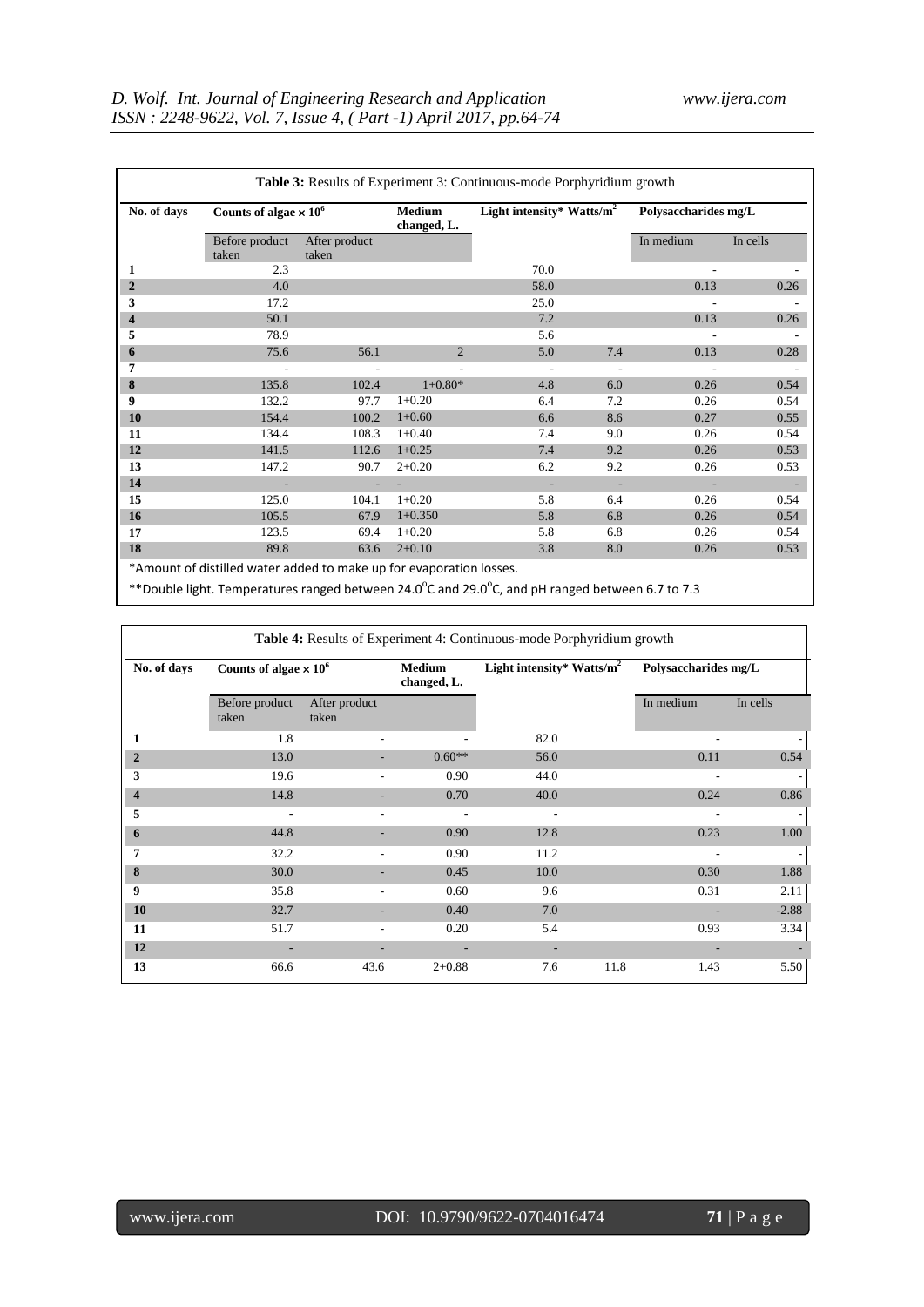| No. of days    | Counts of algae $\times 10^6$ |                        | <b>Medium</b><br>changed, L. | Light intensity* Watts/ $m^2$ |     | Polysaccharides mg/L |          |
|----------------|-------------------------------|------------------------|------------------------------|-------------------------------|-----|----------------------|----------|
|                | Before product<br>taken       | After product<br>taken |                              |                               |     | In medium            | In cells |
| 1              | 2.3                           |                        |                              | 70.0                          |     |                      |          |
| $\overline{2}$ | 4.0                           |                        |                              | 58.0                          |     | 0.13                 | 0.26     |
| 3              | 17.2                          |                        |                              | 25.0                          |     |                      |          |
| 4              | 50.1                          |                        |                              | 7.2                           |     | 0.13                 | 0.26     |
| 5              | 78.9                          |                        |                              | 5.6                           |     |                      |          |
| 6              | 75.6                          | 56.1                   | 2                            | 5.0                           | 7.4 | 0.13                 | 0.28     |
| 7              |                               |                        |                              |                               |     |                      |          |
| 8              | 135.8                         | 102.4                  | $1+0.80*$                    | 4.8                           | 6.0 | 0.26                 | 0.54     |
| 9              | 132.2                         | 97.7                   | $1+0.20$                     | 6.4                           | 7.2 | 0.26                 | 0.54     |
| 10             | 154.4                         | 100.2                  | $1+0.60$                     | 6.6                           | 8.6 | 0.27                 | 0.55     |
| 11             | 134.4                         | 108.3                  | $1+0.40$                     | 7.4                           | 9.0 | 0.26                 | 0.54     |
| 12             | 141.5                         | 112.6                  | $1+0.25$                     | 7.4                           | 9.2 | 0.26                 | 0.53     |
| 13             | 147.2                         | 90.7                   | $2+0.20$                     | 6.2                           | 9.2 | 0.26                 | 0.53     |
| 14             |                               |                        |                              |                               |     |                      |          |
| 15             | 125.0                         | 104.1                  | $1+0.20$                     | 5.8                           | 6.4 | 0.26                 | 0.54     |
| 16             | 105.5                         | 67.9                   | $1+0.350$                    | 5.8                           | 6.8 | 0.26                 | 0.54     |
| 17             | 123.5                         | 69.4                   | $1+0.20$                     | 5.8                           | 6.8 | 0.26                 | 0.54     |
| 18             | 89.8                          | 63.6                   | $2+0.10$                     | 3.8                           | 8.0 | 0.26                 | 0.53     |

\*\*Double light. Temperatures ranged between 24.0 $^{\circ}$ C and 29.0 $^{\circ}$ C, and pH ranged between 6.7 to 7.3

| Table 4: Results of Experiment 4: Continuous-mode Porphyridium growth |                               |                        |                              |                                       |                          |                      |  |  |
|-----------------------------------------------------------------------|-------------------------------|------------------------|------------------------------|---------------------------------------|--------------------------|----------------------|--|--|
| No. of days                                                           | Counts of algae $\times 10^6$ |                        | <b>Medium</b><br>changed, L. | Light intensity* Watts/m <sup>2</sup> |                          | Polysaccharides mg/L |  |  |
|                                                                       | Before product<br>taken       | After product<br>taken |                              |                                       | In medium                | In cells             |  |  |
| 1                                                                     | 1.8                           | ٠                      |                              | 82.0                                  | $\overline{\phantom{a}}$ |                      |  |  |
| $\overline{2}$                                                        | 13.0                          |                        | $0.60**$                     | 56.0                                  | 0.11                     | 0.54                 |  |  |
| 3                                                                     | 19.6                          | ٠                      | 0.90                         | 44.0                                  | $\overline{\phantom{a}}$ |                      |  |  |
| $\overline{\mathbf{4}}$                                               | 14.8                          |                        | 0.70                         | 40.0                                  | 0.24                     | 0.86                 |  |  |
| 5                                                                     | $\overline{\phantom{a}}$      | ٠                      |                              |                                       |                          |                      |  |  |
| 6                                                                     | 44.8                          |                        | 0.90                         | 12.8                                  | 0.23                     | 1.00                 |  |  |
| 7                                                                     | 32.2                          | ٠                      | 0.90                         | 11.2                                  |                          |                      |  |  |
| 8                                                                     | 30.0                          |                        | 0.45                         | 10.0                                  | 0.30                     | 1.88                 |  |  |
| 9                                                                     | 35.8                          |                        | 0.60                         | 9.6                                   | 0.31                     | 2.11                 |  |  |
| 10                                                                    | 32.7                          |                        | 0.40                         | 7.0                                   |                          | $-2.88$              |  |  |
| 11                                                                    | 51.7                          | ۰                      | 0.20                         | 5.4                                   | 0.93                     | 3.34                 |  |  |
| 12                                                                    |                               |                        |                              |                                       |                          |                      |  |  |
| 13                                                                    | 66.6                          | 43.6                   | $2+0.88$                     | 11.8<br>7.6                           | 1.43                     | 5.50                 |  |  |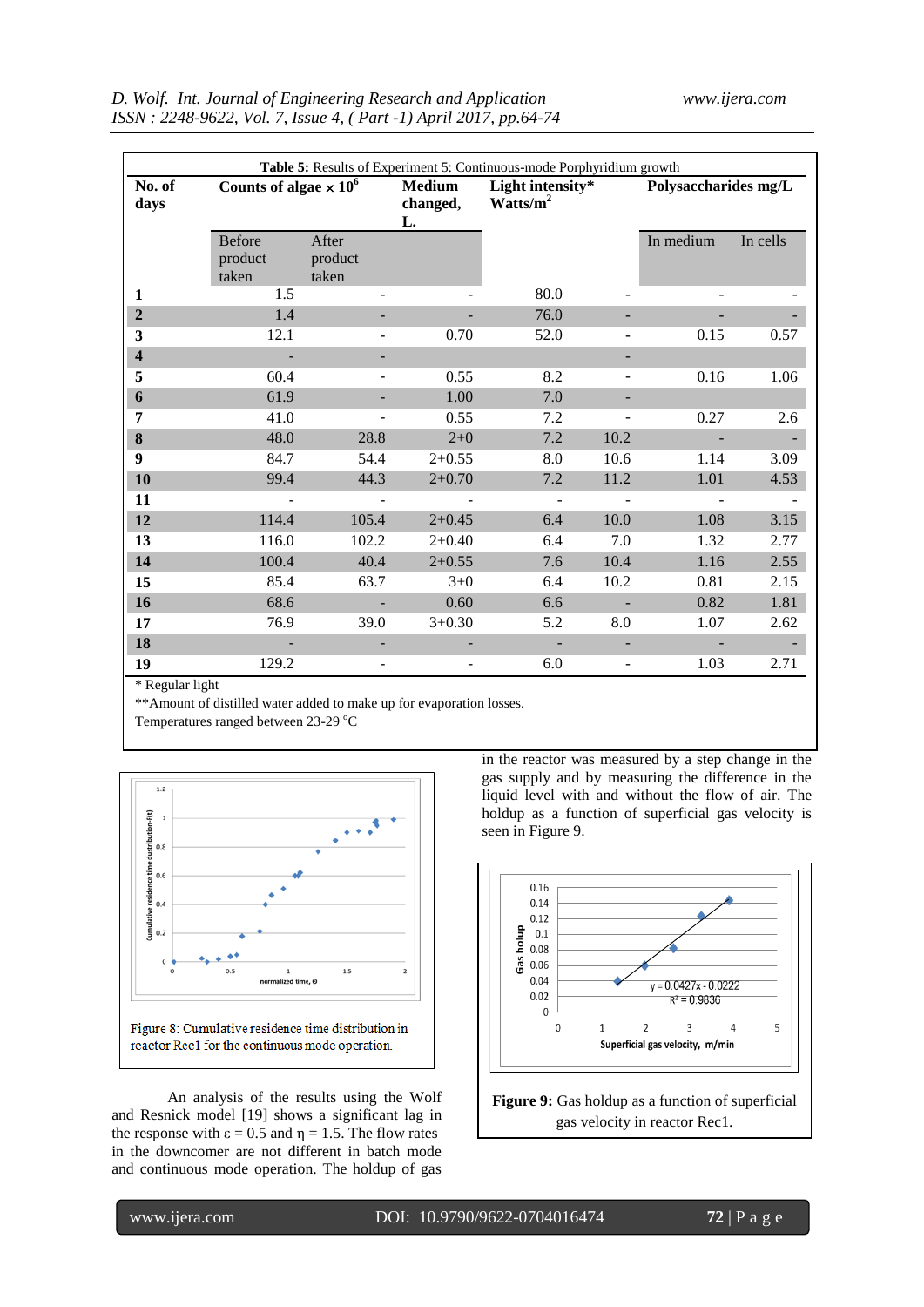|                         |                                   |                           |                                 | Table 5: Results of Experiment 5: Continuous-mode Porphyridium growth |                          |                          |          |
|-------------------------|-----------------------------------|---------------------------|---------------------------------|-----------------------------------------------------------------------|--------------------------|--------------------------|----------|
| No. of<br>days          | Counts of algae $\times 10^6$     |                           | <b>Medium</b><br>changed,<br>L. | Light intensity*<br>Watts/ $m^2$                                      |                          | Polysaccharides mg/L     |          |
|                         | <b>Before</b><br>product<br>taken | After<br>product<br>taken |                                 |                                                                       |                          | In medium                | In cells |
| 1                       | 1.5                               |                           |                                 | 80.0                                                                  |                          |                          |          |
| $\overline{2}$          | 1.4                               |                           |                                 | 76.0                                                                  |                          |                          |          |
| 3                       | 12.1                              | $\overline{\phantom{0}}$  | 0.70                            | 52.0                                                                  |                          | 0.15                     | 0.57     |
| $\overline{\mathbf{4}}$ | $\overline{a}$                    |                           |                                 |                                                                       |                          |                          |          |
| 5                       | 60.4                              | -                         | 0.55                            | 8.2                                                                   |                          | 0.16                     | 1.06     |
| 6                       | 61.9                              |                           | 1.00                            | 7.0                                                                   |                          |                          |          |
| 7                       | 41.0                              | -                         | 0.55                            | 7.2                                                                   |                          | 0.27                     | 2.6      |
| 8                       | 48.0                              | 28.8                      | $2 + 0$                         | 7.2                                                                   | 10.2                     |                          |          |
| 9                       | 84.7                              | 54.4                      | $2+0.55$                        | 8.0                                                                   | 10.6                     | 1.14                     | 3.09     |
| 10                      | 99.4                              | 44.3                      | $2 + 0.70$                      | 7.2                                                                   | 11.2                     | 1.01                     | 4.53     |
| 11                      |                                   | $\blacksquare$            |                                 | $\overline{a}$                                                        | $\sim$                   | $\overline{\phantom{a}}$ |          |
| 12                      | 114.4                             | 105.4                     | $2+0.45$                        | 6.4                                                                   | 10.0                     | 1.08                     | 3.15     |
| 13                      | 116.0                             | 102.2                     | $2+0.40$                        | 6.4                                                                   | 7.0                      | 1.32                     | 2.77     |
| 14                      | 100.4                             | 40.4                      | $2+0.55$                        | 7.6                                                                   | 10.4                     | 1.16                     | 2.55     |
| 15                      | 85.4                              | 63.7                      | $3+0$                           | 6.4                                                                   | 10.2                     | 0.81                     | 2.15     |
| 16                      | 68.6                              |                           | 0.60                            | 6.6                                                                   | ÷.                       | 0.82                     | 1.81     |
| 17                      | 76.9                              | 39.0                      | $3+0.30$                        | 5.2                                                                   | 8.0                      | 1.07                     | 2.62     |
| 18                      |                                   |                           |                                 |                                                                       |                          |                          |          |
| 19                      | 129.2                             |                           |                                 | 6.0                                                                   | $\overline{\phantom{a}}$ | 1.03                     | 2.71     |

\* Regular light

\*\*Amount of distilled water added to make up for evaporation losses.

Temperatures ranged between 23-29 °C



An analysis of the results using the Wolf and Resnick model [19] shows a significant lag in the response with  $\varepsilon = 0.5$  and  $\eta = 1.5$ . The flow rates in the downcomer are not different in batch mode and continuous mode operation. The holdup of gas in the reactor was measured by a step change in the gas supply and by measuring the difference in the liquid level with and without the flow of air. The holdup as a function of superficial gas velocity is seen in Figure 9.



gas velocity in reactor Rec1.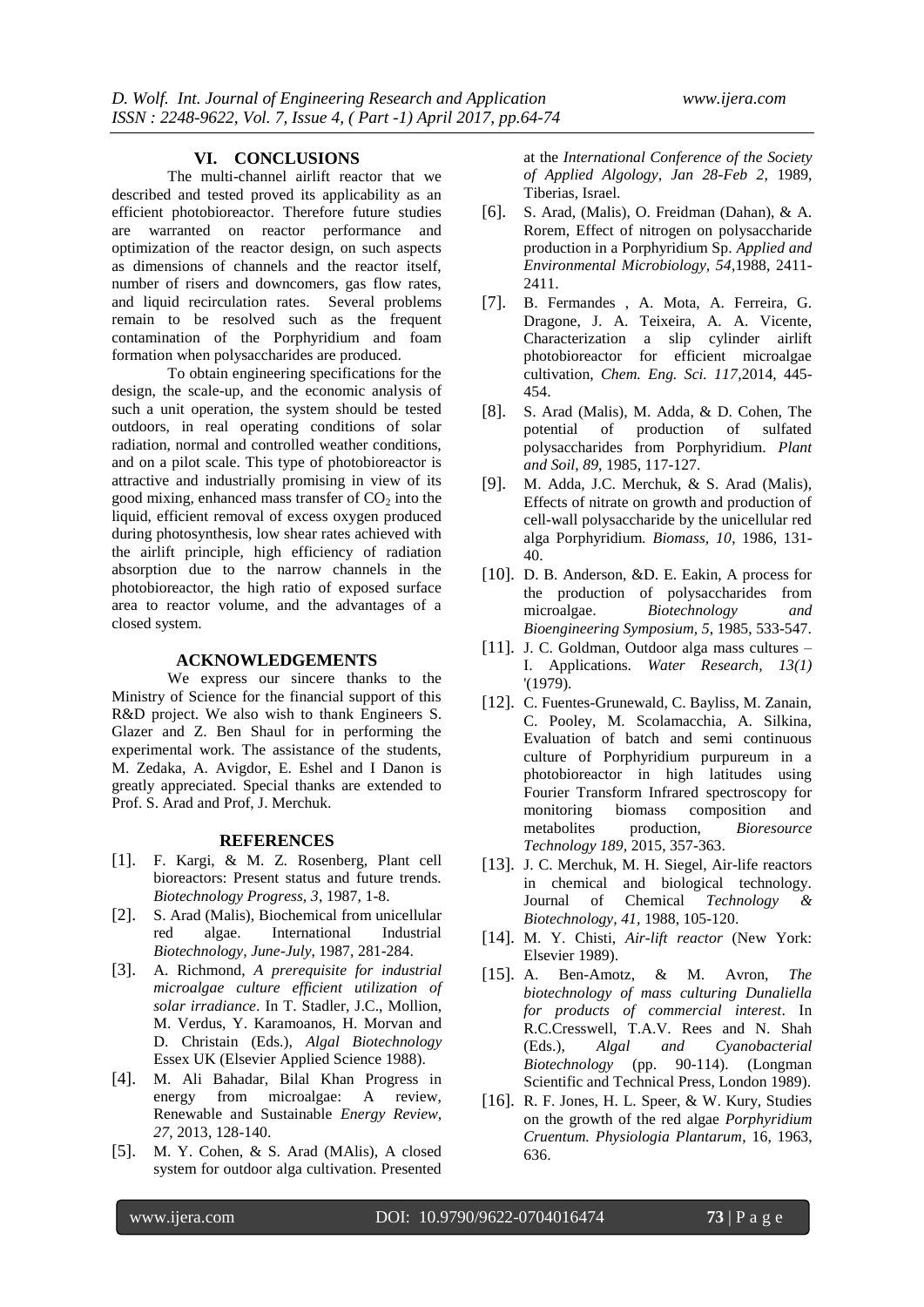### **VI. CONCLUSIONS**

The multi-channel airlift reactor that we described and tested proved its applicability as an efficient photobioreactor. Therefore future studies are warranted on reactor performance and optimization of the reactor design, on such aspects as dimensions of channels and the reactor itself, number of risers and downcomers, gas flow rates, and liquid recirculation rates. Several problems remain to be resolved such as the frequent contamination of the Porphyridium and foam formation when polysaccharides are produced.

To obtain engineering specifications for the design, the scale-up, and the economic analysis of such a unit operation, the system should be tested outdoors, in real operating conditions of solar radiation, normal and controlled weather conditions, and on a pilot scale. This type of photobioreactor is attractive and industrially promising in view of its good mixing, enhanced mass transfer of  $CO<sub>2</sub>$  into the liquid, efficient removal of excess oxygen produced during photosynthesis, low shear rates achieved with the airlift principle, high efficiency of radiation absorption due to the narrow channels in the photobioreactor, the high ratio of exposed surface area to reactor volume, and the advantages of a closed system.

#### **ACKNOWLEDGEMENTS**

We express our sincere thanks to the Ministry of Science for the financial support of this R&D project. We also wish to thank Engineers S. Glazer and Z. Ben Shaul for in performing the experimental work. The assistance of the students, M. Zedaka, A. Avigdor, E. Eshel and I Danon is greatly appreciated. Special thanks are extended to Prof. S. Arad and Prof, J. Merchuk.

#### **REFERENCES**

- [1]. F. Kargi, & M. Z. Rosenberg, Plant cell bioreactors: Present status and future trends. *Biotechnology Progress, 3*, 1987, 1-8.
- [2]. S. Arad (Malis), Biochemical from unicellular red algae. International Industrial *Biotechnology, June-July*, 1987, 281-284.
- [3]. A. Richmond, *A prerequisite for industrial microalgae culture efficient utilization of solar irradiance*. In T. Stadler, J.C., Mollion, M. Verdus, Y. Karamoanos, H. Morvan and D. Christain (Eds.), *Algal Biotechnology* Essex UK (Elsevier Applied Science 1988).
- [4]. M. Ali Bahadar, Bilal Khan Progress in energy from microalgae: A review, Renewable and Sustainable *Energy Review, 27*, 2013, 128-140.
- [5]. M. Y. Cohen, & S. Arad (MAlis), A closed system for outdoor alga cultivation. Presented

at the *International Conference of the Society of Applied Algology, Jan 28-Feb 2*, 1989, Tiberias, Israel.

- [6]. S. Arad, (Malis), O. Freidman (Dahan), & A. Rorem, Effect of nitrogen on polysaccharide production in a Porphyridium Sp. *Applied and Environmental Microbiology, 54*,1988, 2411- 2411.
- [7]. B. Fermandes , A. Mota, A. Ferreira, G. Dragone, J. A. Teixeira, A. A. Vicente, Characterization a slip cylinder airlift photobioreactor for efficient microalgae cultivation, *Chem. Eng. Sci. 117*,2014, 445- 454.
- [8]. S. Arad (Malis), M. Adda, & D. Cohen, The potential of production of sulfated polysaccharides from Porphyridium. *Plant and Soil, 89*, 1985, 117-127.
- [9]. M. Adda, J.C. Merchuk, & S. Arad (Malis), Effects of nitrate on growth and production of cell-wall polysaccharide by the unicellular red alga Porphyridium. *Biomass, 10*, 1986, 131- 40.
- [10]. D. B. Anderson, &D. E. Eakin, A process for the production of polysaccharides from microalgae. *Biotechnology and Bioengineering Symposium, 5*, 1985, 533-547.
- [11]. J. C. Goldman, Outdoor alga mass cultures I. Applications. *Water Research, 13(1)* '(1979).
- [12]. C. Fuentes-Grunewald, C. Bayliss, M. Zanain, C. Pooley, M. Scolamacchia, A. Silkina, Evaluation of batch and semi continuous culture of Porphyridium purpureum in a photobioreactor in high latitudes using Fourier Transform Infrared spectroscopy for monitoring biomass composition and metabolites production, *Bioresource Technology 189,* 2015, 357-363.
- [13]. J. C. Merchuk, M. H. Siegel, Air-life reactors in chemical and biological technology. Journal of Chemical *Technology & Biotechnology, 41,* 1988, 105-120.
- [14]. M. Y. Chisti, *Air-lift reactor* (New York: Elsevier 1989).
- [15]. A. Ben-Amotz, & M. Avron, *The biotechnology of mass culturing Dunaliella for products of commercial interest*. In R.C.Cresswell, T.A.V. Rees and N. Shah (Eds.), *Algal and Cyanobacterial Biotechnology* (pp. 90-114). (Longman Scientific and Technical Press, London 1989).
- [16]. R. F. Jones, H. L. Speer, & W. Kury, Studies on the growth of the red algae *Porphyridium Cruentum. Physiologia Plantarum*, 16, 1963, 636.